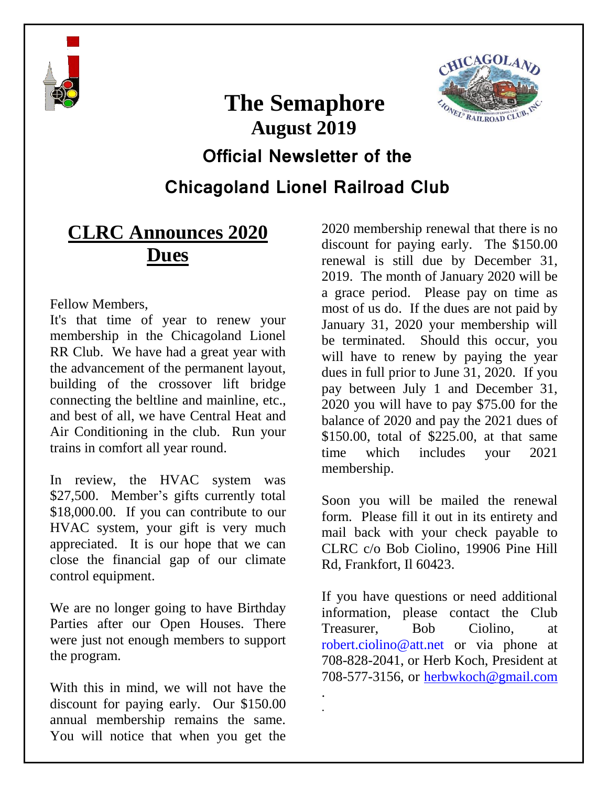

# **The Semaphore August 2019**



### **Official Newsletter of the**

**Chicagoland Lionel Railroad Club**

. .

## **CLRC Announces 2020 Dues**

Fellow Members,

It's that time of year to renew your membership in the Chicagoland Lionel RR Club. We have had a great year with the advancement of the permanent layout, building of the crossover lift bridge connecting the beltline and mainline, etc., and best of all, we have Central Heat and Air Conditioning in the club. Run your trains in comfort all year round.

In review, the HVAC system was \$27,500. Member's gifts currently total \$18,000.00. If you can contribute to our HVAC system, your gift is very much appreciated. It is our hope that we can close the financial gap of our climate control equipment.

We are no longer going to have Birthday Parties after our Open Houses. There were just not enough members to support the program.

With this in mind, we will not have the discount for paying early. Our \$150.00 annual membership remains the same. You will notice that when you get the

2020 membership renewal that there is no discount for paying early. The \$150.00 renewal is still due by December 31, 2019. The month of January 2020 will be a grace period. Please pay on time as most of us do. If the dues are not paid by January 31, 2020 your membership will be terminated. Should this occur, you will have to renew by paying the year dues in full prior to June 31, 2020. If you pay between July 1 and December 31, 2020 you will have to pay \$75.00 for the balance of 2020 and pay the 2021 dues of \$150.00, total of \$225.00, at that same time which includes your 2021 membership.

Soon you will be mailed the renewal form. Please fill it out in its entirety and mail back with your check payable to CLRC c/o Bob Ciolino, 19906 Pine Hill Rd, Frankfort, Il 60423.

If you have questions or need additional information, please contact the Club Treasurer, Bob Ciolino, at [robert.ciolino@att.net](mailto:havli_lisle@sbcglobal.net) or via phone at 708-828-2041, or Herb Koch, President at 708-577-3156, or [herbwkoch@gmail.com](mailto:herbwkoch@gmail.com)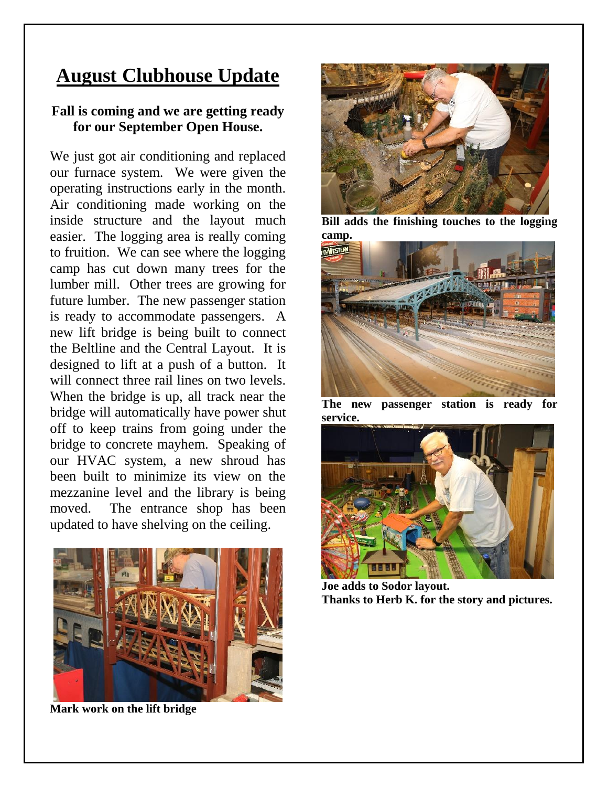## **August Clubhouse Update**

#### **Fall is coming and we are getting ready for our September Open House.**

We just got air conditioning and replaced our furnace system. We were given the operating instructions early in the month. Air conditioning made working on the inside structure and the layout much easier. The logging area is really coming to fruition. We can see where the logging camp has cut down many trees for the lumber mill. Other trees are growing for future lumber. The new passenger station is ready to accommodate passengers. A new lift bridge is being built to connect the Beltline and the Central Layout. It is designed to lift at a push of a button. It will connect three rail lines on two levels. When the bridge is up, all track near the bridge will automatically have power shut off to keep trains from going under the bridge to concrete mayhem. Speaking of our HVAC system, a new shroud has been built to minimize its view on the mezzanine level and the library is being moved. The entrance shop has been updated to have shelving on the ceiling.



**Mark work on the lift bridge**



**Bill adds the finishing touches to the logging camp.**



**The new passenger station is ready for service.**



**Joe adds to Sodor layout. Thanks to Herb K. for the story and pictures.**